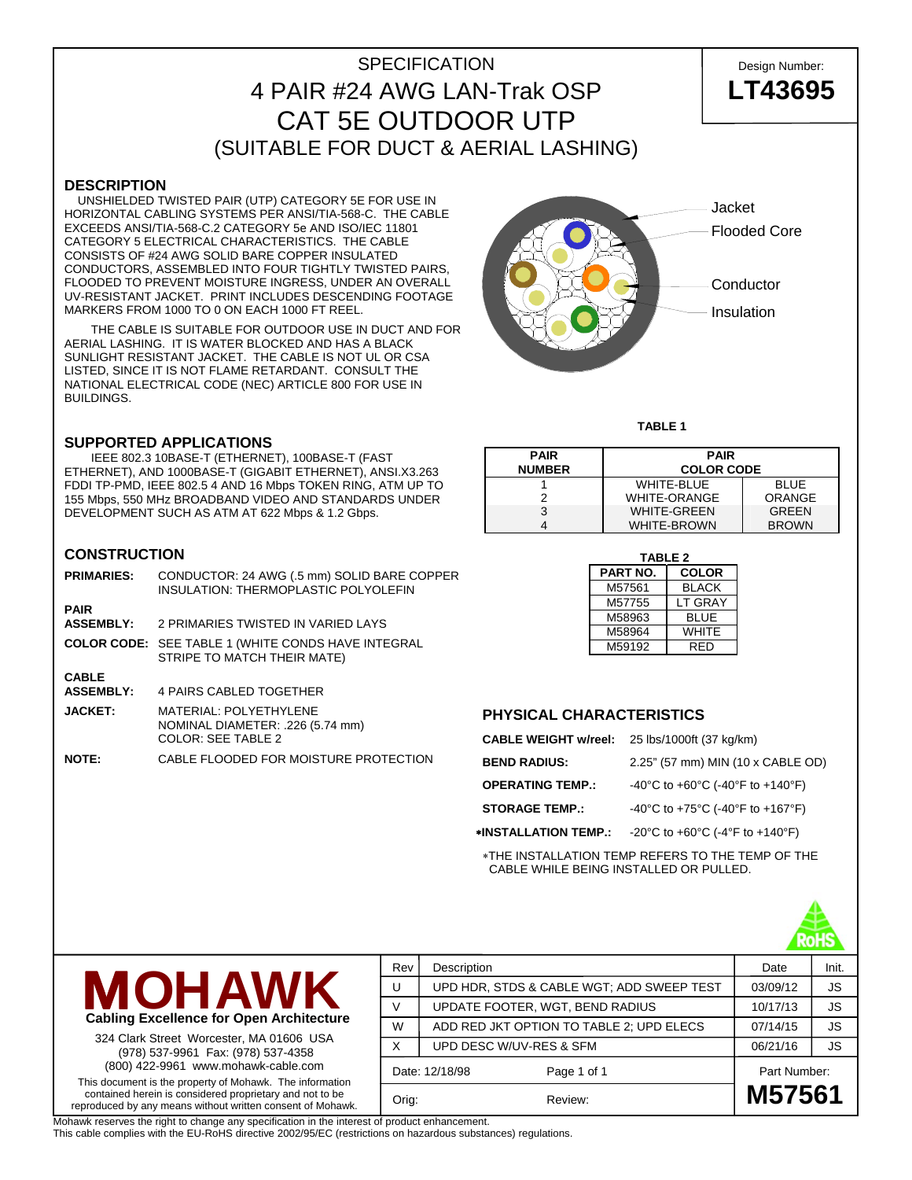# SPECIFICATION Design Number: 4 PAIR #24 AWG LAN-Trak OSP **LT43695** CAT 5E OUTDOOR UTP (SUITABLE FOR DUCT & AERIAL LASHING)

## **DESCRIPTION**

 UNSHIELDED TWISTED PAIR (UTP) CATEGORY 5E FOR USE IN HORIZONTAL CABLING SYSTEMS PER ANSI/TIA-568-C. THE CABLE EXCEEDS ANSI/TIA-568-C.2 CATEGORY 5e AND ISO/IEC 11801 CATEGORY 5 ELECTRICAL CHARACTERISTICS. THE CABLE CONSISTS OF #24 AWG SOLID BARE COPPER INSULATED CONDUCTORS, ASSEMBLED INTO FOUR TIGHTLY TWISTED PAIRS, FLOODED TO PREVENT MOISTURE INGRESS, UNDER AN OVERALL UV-RESISTANT JACKET. PRINT INCLUDES DESCENDING FOOTAGE MARKERS FROM 1000 TO 0 ON EACH 1000 FT REEL.

 THE CABLE IS SUITABLE FOR OUTDOOR USE IN DUCT AND FOR AERIAL LASHING. IT IS WATER BLOCKED AND HAS A BLACK SUNLIGHT RESISTANT JACKET. THE CABLE IS NOT UL OR CSA LISTED, SINCE IT IS NOT FLAME RETARDANT. CONSULT THE NATIONAL ELECTRICAL CODE (NEC) ARTICLE 800 FOR USE IN BUILDINGS.

### **SUPPORTED APPLICATIONS**

 IEEE 802.3 10BASE-T (ETHERNET), 100BASE-T (FAST ETHERNET), AND 1000BASE-T (GIGABIT ETHERNET), ANSI.X3.263 FDDI TP-PMD, IEEE 802.5 4 AND 16 Mbps TOKEN RING, ATM UP TO 155 Mbps, 550 MHz BROADBAND VIDEO AND STANDARDS UNDER DEVELOPMENT SUCH AS ATM AT 622 Mbps & 1.2 Gbps.

### **CONSTRUCTION**

| <b>PRIMARIES:</b>                | CONDUCTOR: 24 AWG (.5 mm) SOLID BARE COPPER<br>INSULATION: THERMOPLASTIC POLYOLEFIN            |
|----------------------------------|------------------------------------------------------------------------------------------------|
| <b>PAIR</b><br><b>ASSEMBLY:</b>  | 2 PRIMARIES TWISTED IN VARIED LAYS                                                             |
|                                  | <b>COLOR CODE:</b> SEE TABLE 1 (WHITE CONDS HAVE INTEGRAL<br>STRIPE TO MATCH THEIR MATE)       |
| <b>CABLE</b><br><b>ASSEMBLY:</b> | 4 PAIRS CABLED TOGETHER                                                                        |
| <b>JACKET:</b>                   | <b>MATERIAL: POLYETHYLENE</b><br>NOMINAL DIAMETER: .226 (5.74 mm)<br><b>COLOR: SEE TABLE 2</b> |
| <b>NOTE:</b>                     | CABLE FLOODED FOR MOISTURE PROTECTION                                                          |



#### **TABLE 1**

| <b>PAIR</b><br><b>NUMBER</b> | <b>PAIR</b><br><b>COLOR CODE</b> |              |  |  |  |
|------------------------------|----------------------------------|--------------|--|--|--|
|                              | <b>WHITE-BLUE</b>                | <b>BLUE</b>  |  |  |  |
|                              | <b>WHITE-ORANGE</b>              | ORANGE       |  |  |  |
| 3                            | <b>WHITE-GREEN</b>               | GRFFN        |  |  |  |
|                              | <b>WHITE-BROWN</b>               | <b>BROWN</b> |  |  |  |

| <b>TABLE 2</b> |              |  |  |  |  |  |  |
|----------------|--------------|--|--|--|--|--|--|
| PART NO.       | <b>COLOR</b> |  |  |  |  |  |  |
| M57561         | <b>BLACK</b> |  |  |  |  |  |  |
| M57755         | LT GRAY      |  |  |  |  |  |  |
| M58963         | <b>BLUE</b>  |  |  |  |  |  |  |
| M58964         | WHITE        |  |  |  |  |  |  |
| M59192         | RFD          |  |  |  |  |  |  |

## **PHYSICAL CHARACTERISTICS**

| CABLE WEIGHT w/reel: 25 lbs/1000ft (37 kg/km) |                                   |
|-----------------------------------------------|-----------------------------------|
| <b>BEND RADIUS:</b>                           | 2.25" (57 mm) MIN (10 x CABLE OD) |
| <b>OPERATING TEMP.:</b>                       | -40°C to +60°C (-40°F to +140°F)  |
| <b>STORAGE TEMP.:</b>                         | -40°C to +75°C (-40°F to +167°F)  |
| ∗INSTALLATION TEMP.:                          | -20°C to +60°C (-4°F to +140°F)   |
|                                               |                                   |

∗THE INSTALLATION TEMP REFERS TO THE TEMP OF THE CABLE WHILE BEING INSTALLED OR PULLED.





324 Clark Street Worcester, MA 01606 USA (978) 537-9961 Fax: (978) 537-4358 (800) 422-9961 www.mohawk-cable.com This document is the property of Mohawk. The information

contained herein is considered proprietary and not to be reproduced by any means without written consent of Mohawk.

Rev Description **Description** Date Init. U | UPD HDR, STDS & CABLE WGT; ADD SWEEP TEST | 03/09/12 | JS V | UPDATE FOOTER, WGT, BEND RADIUS | 10/17/13 | JS W  $\parallel$  ADD RED JKT OPTION TO TABLE 2; UPD ELECS  $\parallel$  07/14/15  $\parallel$  JS X DUPD DESC W/UV-RES & SFM  $\,$  06/21/16  $\,$  JS Date: 12/18/98 Page 1 of 1 Part Number: Orig: Review: **M57561**

Mohawk reserves the right to change any specification in the interest of product enhancement.

This cable complies with the EU-RoHS directive 2002/95/EC (restrictions on hazardous substances) regulations.